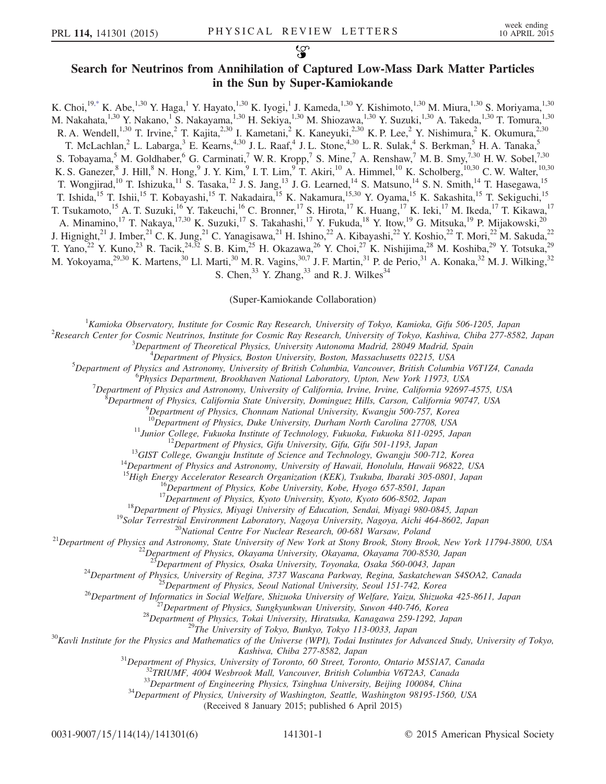## Search for Neutrinos from Annihilation of Captured Low-Mass Dark Matter Particles in the Sun by Super-Kamiokande

<span id="page-0-0"></span>K. Choi,<sup>1[9,\\*](#page-5-0)</sup> K. Abe,<sup>1,30</sup> Y. Haga,<sup>1</sup> Y. Hayato,<sup>1,30</sup> K. Iyogi,<sup>1</sup> J. Kameda,<sup>1,30</sup> Y. Kishimoto,<sup>1,30</sup> M. Miura,<sup>1,30</sup> S. Moriyama,<sup>1,30</sup> M. Nakahata,<sup>1,30</sup> Y. Nakano,<sup>1</sup> S. Nakayama,<sup>1,30</sup> H. Sekiya,<sup>1,30</sup> M. Shiozawa,<sup>1,30</sup> Y. Suzuki,<sup>1,30</sup> A. Takeda,<sup>1,30</sup> T. Tomura,<sup>1,30</sup> R. A. Wendell,<sup>1,30</sup> T. Irvine,<sup>2</sup> T. Kajita,<sup>2,30</sup> I. Kametani,<sup>2</sup> K. Kaneyuki,<sup>2,30</sup> K. P. Lee,<sup>2</sup> Y. Nishimura,<sup>2</sup> K. Okumura,<sup>2,30</sup> T. McLachlan,<sup>2</sup> L. Labarga,<sup>3</sup> E. Kearns,<sup>4,30</sup> J. L. Raaf,<sup>4</sup> J. L. Stone,<sup>4,30</sup> L. R. Sulak,<sup>4</sup> S. Berkman,<sup>5</sup> H. A. Tanaka,<sup>5</sup> S. Tobayama,<sup>5</sup> M. Goldhaber,<sup>6</sup> G. Carminati,<sup>7</sup> W. R. Kropp,<sup>7</sup> S. Mine,<sup>7</sup> A. Renshaw,<sup>7</sup> M. B. Smy,<sup>7,30</sup> H. W. Sobel,<sup>7,30</sup> K. S. Ganezer, <sup>8</sup> J. Hill, <sup>8</sup> N. Hong, <sup>9</sup> J. Y. Kim, <sup>9</sup> I. T. Lim, <sup>9</sup> T. Akiri, <sup>10</sup> A. Himmel, <sup>10</sup> K. Scholberg, <sup>10,30</sup> C. W. Walter, <sup>10,30</sup> T. Wongjirad,<sup>10</sup> T. Ishizuka,<sup>11</sup> S. Tasaka,<sup>12</sup> J. S. Jang,<sup>13</sup> J. G. Learned,<sup>14</sup> S. Matsuno,<sup>14</sup> S. N. Smith,<sup>14</sup> T. Hasegawa,<sup>15</sup> T. Ishida,<sup>15</sup> T. Ishii,<sup>15</sup> T. Kobayashi,<sup>15</sup> T. Nakadaira,<sup>15</sup> K. Nakamura,<sup>15,30</sup> Y. Oyama,<sup>15</sup> K. Sakashita,<sup>15</sup> T. Sekiguchi,<sup>15</sup> T. Tsukamoto,<sup>15</sup> A. T. Suzuki,<sup>16</sup> Y. Takeuchi,<sup>16</sup> C. Bronner,<sup>17</sup> S. Hirota,<sup>17</sup> K. Huang,<sup>17</sup> K. Ieki,<sup>17</sup> M. Ikeda,<sup>17</sup> T. Kikawa,<sup>17</sup> A. Minamino,<sup>17</sup> T. Nakaya,<sup>17,30</sup> K. Suzuki,<sup>17</sup> S. Takahashi,<sup>17</sup> Y. Fukuda,<sup>18</sup> Y. Itow,<sup>19</sup> G. Mitsuka,<sup>19</sup> P. Mijakowski,<sup>20</sup> J. Hignight,<sup>21</sup> J. Imber,<sup>21</sup> C. K. Jung,<sup>21</sup> C. Yanagisawa,<sup>21</sup> H. Ishino,<sup>22</sup> A. Kibayashi,<sup>22</sup> Y. Koshio,<sup>22</sup> T. Mori,<sup>22</sup> M. Sakuda,<sup>22</sup> T. Yano,<sup>22</sup> Y. Kuno,<sup>23</sup> R. Tacik,<sup>24,32</sup> S. B. Kim,<sup>25</sup> H. Okazawa,<sup>26</sup> Y. Choi,<sup>27</sup> K. Nishijima,<sup>28</sup> M. Koshiba,<sup>29</sup> Y. Totsuka,<sup>29</sup> M. Yokoyama,<sup>29,30</sup> K. Martens,<sup>30</sup> Ll. Marti,<sup>30</sup> M. R. Vagins,<sup>30,7</sup> J. F. Martin,<sup>31</sup> P. de Perio,<sup>31</sup> A. Konaka,<sup>32</sup> M. J. Wilking,<sup>32</sup> S. Chen,  $33$  Y. Zhang,  $33$  and R. J. Wilkes  $34$ 

(Super-Kamiokande Collaboration)

<sup>1</sup> Kamioka Observatory, Institute for Cosmic Ray Research, University of Tokyo, Kamioka, Gifu 506-1205, Japan <sup>2</sup> Pescarah Cantas for Cosmic Nautrinos, Institute for Cosmic Ray Research, University of Tokyo, Kaphiya, Chib

<sup>2</sup>Research Center for Cosmic Neutrinos, Institute for Cosmic Ray Research, University of Tokyo, Kashiwa, Chiba 277-8582, Japan

 $3$ Department of Theoretical Physics, University Autonoma Madrid, 28049 Madrid, Spain

 $^4$ Department of Physics, Boston University, Boston, Massachusetts 02215, USA

 $^5$ Department of Physics and Astronomy, University of British Columbia, Vancouver, British Columbia V6T1Z4, Canada

<sup>6</sup>Physics Department, Brookhaven National Laboratory, Upton, New York 11973, USA

 $^7$ Department of Physics and Astronomy, University of California, Irvine, Irvine, California 92697-4575, USA

 ${}^8$ Department of Physics, California State University, Dominguez Hills, Carson, California 90747, USA

 $^{9}$ Department of Physics, Chonnam National University, Kwangju 500-757, Korea<br><sup>10</sup>Department of Physics, Duke University, Durham North Carolina 27708, USA

<sup>11</sup>Junior College, Fukuoka Institute of Technology, Fukuoka, Fukuoka 811-0295, Japan<br><sup>12</sup>Department of Physics, Gifu University, Gifu, Gifu 501-1193, Japan<br><sup>13</sup>GIST College, Gwangju Institute of Science and Technology, G

<sup>15</sup>High Energy Accelerator Research Organization (KEK), Tsukuba, Ibaraki 305-0801, Japan<br><sup>16</sup>Department of Physics, Kobe University, Kobe, Hyogo 657-8501, Japan<br><sup>17</sup>Department of Physics, Kyoto University, Kyoto, Kyoto 6

<sup>24</sup>Department of Physics, University of Regina, 3737 Wascana Parkway, Regina, Saskatchewan S4SOA2, Canada<br><sup>25</sup>Department of Physics, Seoul National University, Seoul 151-742, Korea<br><sup>26</sup>Department of Informatics in Social

Kashiwa, Chiba 277-8582, Japan<br><sup>31</sup>Department of Physics, University of Toronto, 60 Street, Toronto, Ontario M5S1A7, Canada<br><sup>32</sup>TRIUMF, 4004 Wesbrook Mall, Vancouver, British Columbia V6T2A3, Canada<br><sup>33</sup>Department of Engin

(Received 8 January 2015; published 6 April 2015)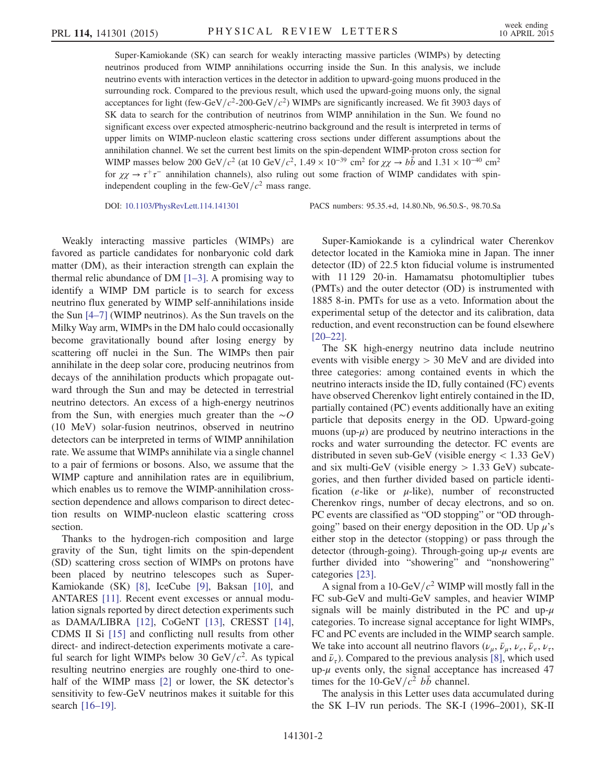Super-Kamiokande (SK) can search for weakly interacting massive particles (WIMPs) by detecting neutrinos produced from WIMP annihilations occurring inside the Sun. In this analysis, we include neutrino events with interaction vertices in the detector in addition to upward-going muons produced in the surrounding rock. Compared to the previous result, which used the upward-going muons only, the signal acceptances for light (few-GeV/ $c^2$ -200-GeV/ $c^2$ ) WIMPs are significantly increased. We fit 3903 days of SK data to search for the contribution of neutrinos from WIMP annihilation in the Sun. We found no significant excess over expected atmospheric-neutrino background and the result is interpreted in terms of upper limits on WIMP-nucleon elastic scattering cross sections under different assumptions about the annihilation channel. We set the current best limits on the spin-dependent WIMP-proton cross section for WIMP masses below 200 GeV/c<sup>2</sup> (at 10 GeV/c<sup>2</sup>, 1.49 × 10<sup>-39</sup> cm<sup>2</sup> for  $\chi\chi \to b\bar{b}$  and 1.31 × 10<sup>-40</sup> cm<sup>2</sup> for  $\chi\chi \to \tau^+\tau^-$  annihilation channels), also ruling out some fraction of WIMP candidates with spinindependent coupling in the few-GeV/ $c^2$  mass range.

DOI: [10.1103/PhysRevLett.114.141301](http://dx.doi.org/10.1103/PhysRevLett.114.141301) PACS numbers: 95.35.+d, 14.80.Nb, 96.50.S-, 98.70.Sa

Weakly interacting massive particles (WIMPs) are favored as particle candidates for nonbaryonic cold dark matter (DM), as their interaction strength can explain the thermal relic abundance of  $DM$   $[1-3]$  $[1-3]$ . A promising way to identify a WIMP DM particle is to search for excess neutrino flux generated by WIMP self-annihilations inside the Sun [\[4](#page-5-2)–7] (WIMP neutrinos). As the Sun travels on the Milky Way arm, WIMPs in the DM halo could occasionally become gravitationally bound after losing energy by scattering off nuclei in the Sun. The WIMPs then pair annihilate in the deep solar core, producing neutrinos from decays of the annihilation products which propagate outward through the Sun and may be detected in terrestrial neutrino detectors. An excess of a high-energy neutrinos from the Sun, with energies much greater than the  $∼O$ (10 MeV) solar-fusion neutrinos, observed in neutrino detectors can be interpreted in terms of WIMP annihilation rate. We assume that WIMPs annihilate via a single channel to a pair of fermions or bosons. Also, we assume that the WIMP capture and annihilation rates are in equilibrium, which enables us to remove the WIMP-annihilation crosssection dependence and allows comparison to direct detection results on WIMP-nucleon elastic scattering cross section.

Thanks to the hydrogen-rich composition and large gravity of the Sun, tight limits on the spin-dependent (SD) scattering cross section of WIMPs on protons have been placed by neutrino telescopes such as Super-Kamiokande (SK) [\[8\]](#page-5-3), IceCube [\[9\],](#page-5-4) Baksan [\[10\]](#page-5-5), and ANTARES [\[11\]](#page-5-6). Recent event excesses or annual modulation signals reported by direct detection experiments such as DAMA/LIBRA [\[12\]](#page-5-7), CoGeNT [\[13\],](#page-5-8) CRESST [\[14\]](#page-5-9), CDMS II Si [\[15\]](#page-5-10) and conflicting null results from other direct- and indirect-detection experiments motivate a careful search for light WIMPs below 30 GeV/ $c^2$ . As typical<br>resulting neutrino energies are roughly one-third to oneresulting neutrino energies are roughly one-third to one-half of the WIMP mass [\[2\]](#page-5-11) or lower, the SK detector's sensitivity to few-GeV neutrinos makes it suitable for this search [\[16](#page-5-12)–19].

Super-Kamiokande is a cylindrical water Cherenkov detector located in the Kamioka mine in Japan. The inner detector (ID) of 22.5 kton fiducial volume is instrumented with 11 129 20-in. Hamamatsu photomultiplier tubes (PMTs) and the outer detector (OD) is instrumented with 1885 8-in. PMTs for use as a veto. Information about the experimental setup of the detector and its calibration, data reduction, and event reconstruction can be found elsewhere [\[20](#page-5-13)–22].

The SK high-energy neutrino data include neutrino events with visible energy  $> 30$  MeV and are divided into three categories: among contained events in which the neutrino interacts inside the ID, fully contained (FC) events have observed Cherenkov light entirely contained in the ID, partially contained (PC) events additionally have an exiting particle that deposits energy in the OD. Upward-going muons (up- $\mu$ ) are produced by neutrino interactions in the rocks and water surrounding the detector. FC events are distributed in seven sub-GeV (visible energy < <sup>1</sup>.<sup>33</sup> GeV) and six multi-GeV (visible energy  $> 1.33$  GeV) subcategories, and then further divided based on particle identification (e-like or  $\mu$ -like), number of reconstructed Cherenkov rings, number of decay electrons, and so on. PC events are classified as "OD stopping" or "OD throughgoing" based on their energy deposition in the OD. Up  $\mu$ 's either stop in the detector (stopping) or pass through the detector (through-going). Through-going up- $\mu$  events are further divided into "showering" and "nonshowering" categories [\[23\].](#page-5-14)

A signal from a 10-GeV/ $c^2$  WIMP will mostly fall in the FC sub-GeV and multi-GeV samples, and heavier WIMP signals will be mainly distributed in the PC and up- $\mu$ categories. To increase signal acceptance for light WIMPs, FC and PC events are included in the WIMP search sample. We take into account all neutrino flavors  $(\nu_{\mu}, \bar{\nu}_{\mu}, \nu_{e}, \bar{\nu}_{e}, \nu_{\tau},$ and  $\bar{\nu}_\tau$ ). Compared to the previous analysis [\[8\],](#page-5-3) which used up- $\mu$  events only, the signal acceptance has increased 47 times for the 10-GeV/ $c^2$  bb channel.

The analysis in this Letter uses data accumulated during the SK I–IV run periods. The SK-I (1996–2001), SK-II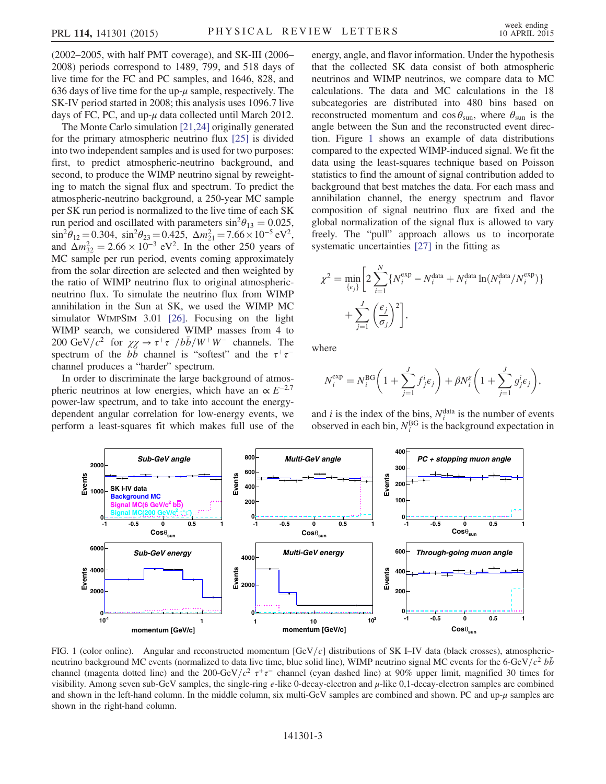(2002–2005, with half PMT coverage), and SK-III (2006– 2008) periods correspond to 1489, 799, and 518 days of live time for the FC and PC samples, and 1646, 828, and 636 days of live time for the up- $\mu$  sample, respectively. The SK-IV period started in 2008; this analysis uses 1096.7 live days of FC, PC, and up- $\mu$  data collected until March 2012.

The Monte Carlo simulation [\[21,24\]](#page-5-15) originally generated for the primary atmospheric neutrino flux [\[25\]](#page-5-16) is divided into two independent samples and is used for two purposes: first, to predict atmospheric-neutrino background, and second, to produce the WIMP neutrino signal by reweighting to match the signal flux and spectrum. To predict the atmospheric-neutrino background, a 250-year MC sample per SK run period is normalized to the live time of each SK run period and oscillated with parameters  $\sin^2\theta_{13} = 0.025$ ,  $\sin^2\theta_{12} = 0.304$ ,  $\sin^2\theta_{23} = 0.425$ ,  $\Delta m_{21}^2 = 7.66 \times 10^{-5}$  eV<sup>2</sup>, and  $\Delta m_{21}^2 = 2.66 \times 10^{-3}$  eV<sup>2</sup>. In the other 250 years of and  $\Delta m_{32}^2 = 2.66 \times 10^{-3} \text{ eV}^2$ . In the other 250 years of MC sample per run period, events coming approximately MC sample per run period, events coming approximately from the solar direction are selected and then weighted by the ratio of WIMP neutrino flux to original atmosphericneutrino flux. To simulate the neutrino flux from WIMP annihilation in the Sun at SK, we used the WIMP MC simulator WIMPSIM 3.01 [\[26\]](#page-5-17). Focusing on the light WIMP search, we considered WIMP masses from 4 to 200 GeV/ $c^2$  for  $\chi \chi \to \tau^+\tau^-/b\bar{b}/W^+W^-$  channels. The spectrum of the  $b\bar{b}$  channel is "softest" and the  $\tau^+\tau^$ channel produces a "harder" spectrum.

In order to discriminate the large background of atmospheric neutrinos at low energies, which have an  $\propto E^{-2.7}$ power-law spectrum, and to take into account the energydependent angular correlation for low-energy events, we perform a least-squares fit which makes full use of the energy, angle, and flavor information. Under the hypothesis that the collected SK data consist of both atmospheric neutrinos and WIMP neutrinos, we compare data to MC calculations. The data and MC calculations in the 18 subcategories are distributed into 480 bins based on reconstructed momentum and  $\cos \theta_{\text{sun}}$ , where  $\theta_{\text{sun}}$  is the angle between the Sun and the reconstructed event direction. Figure [1](#page-2-0) shows an example of data distributions compared to the expected WIMP-induced signal. We fit the data using the least-squares technique based on Poisson statistics to find the amount of signal contribution added to background that best matches the data. For each mass and annihilation channel, the energy spectrum and flavor composition of signal neutrino flux are fixed and the global normalization of the signal flux is allowed to vary freely. The "pull" approach allows us to incorporate systematic uncertainties [\[27\]](#page-5-18) in the fitting as

$$
\chi^2 = \min_{\{\epsilon_j\}} \left[ 2 \sum_{i=1}^N \{ N_i^{\text{exp}} - N_i^{\text{data}} + N_i^{\text{data}} \ln(N_i^{\text{data}} / N_i^{\text{exp}}) \} + \sum_{j=1}^J \left( \frac{\epsilon_j}{\sigma_j} \right)^2 \right],
$$

where

$$
N_i^{\text{exp}} = N_i^{\text{BG}} \bigg( 1 + \sum_{j=1}^J f_j^i \epsilon_j \bigg) + \beta N_i^{\chi} \bigg( 1 + \sum_{j=1}^J g_j^i \epsilon_j \bigg),
$$

and *i* is the index of the bins,  $N_i^{\text{data}}$  is the number of events<br>observed in each bin,  $N^{\text{BG}}$  is the background expectation in observed in each bin,  $N_i^{\text{BG}}$  is the background expectation in

<span id="page-2-0"></span>

FIG. 1 (color online). Angular and reconstructed momentum  $[GeV/c]$  distributions of SK I–IV data (black crosses), atmosphericneutrino background MC events (normalized to data live time, blue solid line), WIMP neutrino signal MC events for the 6-GeV/ $c^2 b\bar{b}$ channel (magenta dotted line) and the 200-GeV/ $c^2 \tau^+ \tau^-$  channel (cyan dashed line) at 90% upper limit, magnified 30 times for visibility. Among seven sub-GeV samples, the single-ring  $e$ -like 0-decay-electron and  $\mu$ -like 0,1-decay-electron samples are combined and shown in the left-hand column. In the middle column, six multi-GeV samples are combined and shown. PC and up-μ samples are shown in the right-hand column.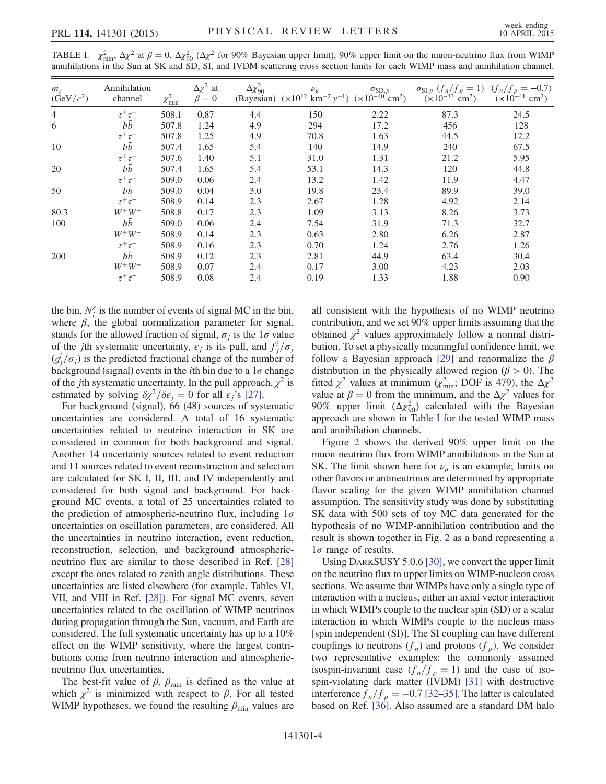| $m_{\gamma}$<br>$(GeV/c^2)$ | Annihilation<br>channel | $\chi^2_{\rm min}$ | $\Delta \chi^2$ at<br>$\beta = 0$ | $\Delta \chi^2_{90}$ | $\nu_\mu$<br>(Bayesian) $(x10^{12} \text{ km}^{-2} \text{ y}^{-1})$ $(x10^{-40} \text{ cm}^2)$ | $\sigma_{SD,p}$ | $\sigma_{\text{SI},p}$ $(f_n/f_p = 1)$ $(f_n/f_p = -0.7)$<br>$(x10^{-43}$ cm <sup>2</sup> ) | $(x10^{-41}$ cm <sup>2</sup> ) |
|-----------------------------|-------------------------|--------------------|-----------------------------------|----------------------|------------------------------------------------------------------------------------------------|-----------------|---------------------------------------------------------------------------------------------|--------------------------------|
| $\overline{4}$              | $\tau^+\tau^-$          | 508.1              | 0.87                              | 4.4                  | 150                                                                                            | 2.22            | 87.3                                                                                        | 24.5                           |
| 6                           | bb                      | 507.8              | 1.24                              | 4.9                  | 294                                                                                            | 17.2            | 456                                                                                         | 128                            |
|                             | $\tau^+\tau^-$          | 507.8              | 1.25                              | 4.9                  | 70.8                                                                                           | 1.63            | 44.5                                                                                        | 12.2                           |
| 10                          | $b\overline{b}$         | 507.4              | 1.65                              | 5.4                  | 140                                                                                            | 14.9            | 240                                                                                         | 67.5                           |
|                             | $\tau^+\tau^-$          | 507.6              | 1.40                              | 5.1                  | 31.0                                                                                           | 1.31            | 21.2                                                                                        | 5.95                           |
| 20                          | $b\bar{b}$              | 507.4              | 1.65                              | 5.4                  | 53.1                                                                                           | 14.3            | 120                                                                                         | 44.8                           |
|                             | $\tau^+\tau^-$          | 509.0              | 0.06                              | 2.4                  | 13.2                                                                                           | 1.42            | 11.9                                                                                        | 4.47                           |
| 50                          | $b\overline{b}$         | 509.0              | 0.04                              | 3.0                  | 19.8                                                                                           | 23.4            | 89.9                                                                                        | 39.0                           |
|                             | $\tau^+\tau^-$          | 508.9              | 0.14                              | 2.3                  | 2.67                                                                                           | 1.28            | 4.92                                                                                        | 2.14                           |
| 80.3                        | $W^+W^-$                | 508.8              | 0.17                              | 2.3                  | 1.09                                                                                           | 3.13            | 8.26                                                                                        | 3.73                           |
| 100                         | bb                      | 509.0              | 0.06                              | 2.4                  | 7.54                                                                                           | 31.9            | 71.3                                                                                        | 32.7                           |
|                             | $W^+W^-$                | 508.9              | 0.14                              | 2.3                  | 0.63                                                                                           | 2.80            | 6.26                                                                                        | 2.87                           |
|                             | $\tau^+\tau^-$          | 508.9              | 0.16                              | 2.3                  | 0.70                                                                                           | 1.24            | 2.76                                                                                        | 1.26                           |
| 200                         | bb                      | 508.9              | 0.12                              | 2.3                  | 2.81                                                                                           | 44.9            | 63.4                                                                                        | 30.4                           |
|                             | $W^+W^-$                | 508.9              | 0.07                              | 2.4                  | 0.17                                                                                           | 3.00            | 4.23                                                                                        | 2.03                           |
|                             | $\tau^+\tau^-$          | 508.9              | 0.08                              | 2.4                  | 0.19                                                                                           | 1.33            | 1.88                                                                                        | 0.90                           |

<span id="page-3-0"></span>TABLE I.  $\chi^2_{\text{min}}$ ,  $\Delta \chi^2$  at  $\beta = 0$ ,  $\Delta \chi^2_{.90}$  ( $\Delta \chi^2$  for 90% Bayesian upper limit), 90% upper limit on the muon-neutrino flux from WIMP annihilation in the Sun at SK and SD. SL and IVDM scattering cross sec annihilations in the Sun at SK and SD, SI, and IVDM scattering cross section limits for each WIMP mass and annihilation channel.

the bin,  $N_i^{\chi}$  is the number of events of signal MC in the bin,<br>where  $\beta$  the global normalization parameter for signal where  $\beta$ , the global normalization parameter for signal, stands for the allowed fraction of signal,  $\sigma_i$  is the 1 $\sigma$  value of the *j*th systematic uncertainty,  $\epsilon_j$  is its pull, and  $f_j^j/\sigma_j$ <br>( $g_j^j/\sigma_j$ ) is the predicted fractional change of the number of  $(g_j^i/\sigma_j)$  is the predicted fractional change of the number of hackground (signal) events in the *i*th bin due to a 1 $\sigma$  change background (signal) events in the *i*th bin due to a  $1\sigma$  change of the *j*th systematic uncertainty. In the pull approach,  $\chi^2$  is estimated by solving  $\delta \chi^2/\delta \epsilon_i = 0$  for all  $\epsilon_i$ 's [\[27\].](#page-5-18)

For background (signal), 66 (48) sources of systematic uncertainties are considered. A total of 16 systematic uncertainties related to neutrino interaction in SK are considered in common for both background and signal. Another 14 uncertainty sources related to event reduction and 11 sources related to event reconstruction and selection are calculated for SK I, II, III, and IV independently and considered for both signal and background. For background MC events, a total of 25 uncertainties related to the prediction of atmospheric-neutrino flux, including  $1\sigma$ uncertainties on oscillation parameters, are considered. All the uncertainties in neutrino interaction, event reduction, reconstruction, selection, and background atmosphericneutrino flux are similar to those described in Ref. [\[28\]](#page-5-19) except the ones related to zenith angle distributions. These uncertainties are listed elsewhere (for example, Tables VI, VII, and VIII in Ref. [\[28\]](#page-5-19)). For signal MC events, seven uncertainties related to the oscillation of WIMP neutrinos during propagation through the Sun, vacuum, and Earth are considered. The full systematic uncertainty has up to a 10% effect on the WIMP sensitivity, where the largest contributions come from neutrino interaction and atmosphericneutrino flux uncertainties.

The best-fit value of  $\beta$ ,  $\beta_{\text{min}}$  is defined as the value at which  $\chi^2$  is minimized with respect to  $\beta$ . For all tested WIMP hypotheses, we found the resulting  $\beta_{\min}$  values are all consistent with the hypothesis of no WIMP neutrino contribution, and we set 90% upper limits assuming that the obtained  $\chi^2$  values approximately follow a normal distribution. To set a physically meaningful confidence limit, we follow a Bayesian approach [\[29\]](#page-5-20) and renormalize the  $\beta$ distribution in the physically allowed region ( $\beta > 0$ ). The fitted  $\chi^2$  values at minimum ( $\chi^2_{\text{min}}$ ; DOF is 479), the  $\Delta \chi^2$ value at  $\beta = 0$  from the minimum, and the  $\Delta \chi^2$  values for 90% upper limit  $(\Delta \chi_{90}^2)$  calculated with the Bayesian approach are shown in Table [I](#page-3-0) for the tested WIMP mass and annihilation channels.

Figure [2](#page-4-0) shows the derived 90% upper limit on the muon-neutrino flux from WIMP annihilations in the Sun at SK. The limit shown here for  $\nu_{\mu}$  is an example; limits on other flavors or antineutrinos are determined by appropriate flavor scaling for the given WIMP annihilation channel assumption. The sensitivity study was done by substituting SK data with 500 sets of toy MC data generated for the hypothesis of no WIMP-annihilation contribution and the result is shown together in Fig. [2](#page-4-0) as a band representing a  $1\sigma$  range of results.

Using DARKSUSY 5.0.6 [\[30\]](#page-5-21), we convert the upper limit on the neutrino flux to upper limits on WIMP-nucleon cross sections. We assume that WIMPs have only a single type of interaction with a nucleus, either an axial vector interaction in which WIMPs couple to the nuclear spin (SD) or a scalar interaction in which WIMPs couple to the nucleus mass [spin independent (SI)]. The SI coupling can have different couplings to neutrons  $(f_n)$  and protons  $(f_p)$ . We consider two representative examples: the commonly assumed isospin-invariant case  $(f_n/f_p = 1)$  and the case of isospin-violating dark matter (IVDM) [\[31\]](#page-5-22) with destructive interference  $f_n/f_p = -0.7$  [\[32](#page-5-23)–35]. The latter is calculated based on Ref. [\[36\]](#page-5-24). Also assumed are a standard DM halo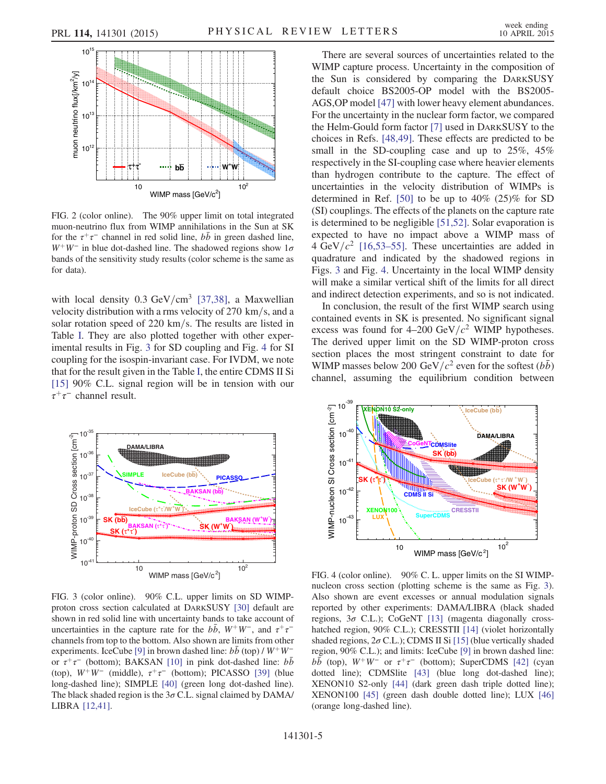<span id="page-4-0"></span>

FIG. 2 (color online). The 90% upper limit on total integrated muon-neutrino flux from WIMP annihilations in the Sun at SK for the  $\tau^+\tau^-$  channel in red solid line, bb in green dashed line,  $W^+W^-$  in blue dot-dashed line. The shadowed regions show  $1\sigma$ bands of the sensitivity study results (color scheme is the same as for data).

with local density  $0.3 \text{ GeV/cm}^3$  [\[37,38\],](#page-5-25) a Maxwellian velocity distribution with a rms velocity of  $270 \text{ km/s}$ , and a solar rotation speed of  $220 \text{ km/s}$ . The results are listed in Table [I](#page-3-0). They are also plotted together with other experimental results in Fig. [3](#page-4-1) for SD coupling and Fig. [4](#page-4-2) for SI coupling for the isospin-invariant case. For IVDM, we note that for the result given in the Table [I](#page-3-0), the entire CDMS II Si [\[15\]](#page-5-10) 90% C.L. signal region will be in tension with our  $\tau^+\tau^-$  channel result.

<span id="page-4-1"></span>

FIG. 3 (color online). 90% C.L. upper limits on SD WIMPproton cross section calculated at DARKSUSY [\[30\]](#page-5-21) default are shown in red solid line with uncertainty bands to take account of uncertainties in the capture rate for the bb,  $W^+W^-$ , and  $\tau^+\tau^$ channels from top to the bottom. Also shown are limits from other experiments. IceCube [\[9\]](#page-5-4) in brown dashed line:  $b\bar{b}$  (top) / W<sup>+</sup>W<sup>−</sup> or  $\tau^+\tau^-$  (bottom); BAKSAN [\[10\]](#page-5-5) in pink dot-dashed line:  $b\bar{b}$ (top),  $W^+W^-$  (middle),  $\tau^+\tau^-$  (bottom); PICASSO [\[39\]](#page-5-31) (blue long-dashed line); SIMPLE [\[40\]](#page-5-32) (green long dot-dashed line). The black shaded region is the  $3\sigma$  C.L. signal claimed by DAMA/ LIBRA [\[12,41\]](#page-5-7).

There are several sources of uncertainties related to the WIMP capture process. Uncertainty in the composition of the Sun is considered by comparing the DARKSUSY default choice BS2005-OP model with the BS2005- AGS,OP model [\[47\]](#page-5-26) with lower heavy element abundances. For the uncertainty in the nuclear form factor, we compared the Helm-Gould form factor [\[7\]](#page-5-27) used in DARKSUSY to the choices in Refs. [\[48,49\]](#page-5-28). These effects are predicted to be small in the SD-coupling case and up to 25%, 45% respectively in the SI-coupling case where heavier elements than hydrogen contribute to the capture. The effect of uncertainties in the velocity distribution of WIMPs is determined in Ref. [\[50\]](#page-5-29) to be up to 40% (25)% for SD (SI) couplings. The effects of the planets on the capture rate is determined to be negligible [\[51,52\].](#page-5-30) Solar evaporation is expected to have no impact above a WIMP mass of 4 GeV/ $c^2$  [\[16,53](#page-5-12)–55]. These uncertainties are added in quadrature and indicated by the shadowed regions in Figs. [3](#page-4-1) and Fig. [4](#page-4-2). Uncertainty in the local WIMP density will make a similar vertical shift of the limits for all direct and indirect detection experiments, and so is not indicated.

In conclusion, the result of the first WIMP search using contained events in SK is presented. No significant signal excess was found for 4–200 GeV/ $c^2$  WIMP hypotheses. The derived upper limit on the SD WIMP-proton cross section places the most stringent constraint to date for WIMP masses below 200 GeV/ $c^2$  even for the softest ( $b\bar{b}$ ) channel, assuming the equilibrium condition between

<span id="page-4-2"></span>

FIG. 4 (color online). 90% C. L. upper limits on the SI WIMPnucleon cross section (plotting scheme is the same as Fig. [3\)](#page-4-1). Also shown are event excesses or annual modulation signals reported by other experiments: DAMA/LIBRA (black shaded regions,  $3\sigma$  C.L.); CoGeNT [\[13\]](#page-5-8) (magenta diagonally cross-hatched region, 90% C.L.); CRESSTII [\[14\]](#page-5-9) (violet horizontally shaded regions,  $2\sigma$  C.L.); CDMS II Si [\[15\]](#page-5-10) (blue vertically shaded region, 90% C.L.); and limits: IceCube [\[9\]](#page-5-4) in brown dashed line:  $b\bar{b}$  (top),  $W^+W^-$  or  $\tau^+\tau^-$  (bottom); SuperCDMS [\[42\]](#page-5-33) (cyan dotted line); CDMSlite [\[43\]](#page-5-34) (blue long dot-dashed line); XENON10 S2-only [\[44\]](#page-5-35) (dark green dash triple dotted line); XENON100 [\[45\]](#page-5-36) (green dash double dotted line); LUX [\[46\]](#page-5-37) (orange long-dashed line).